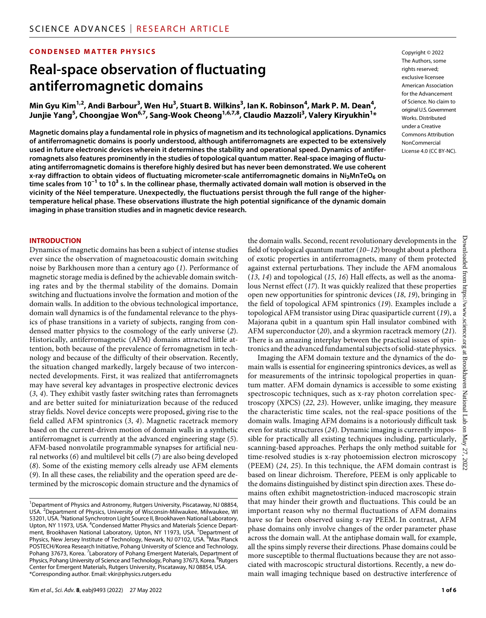### **CONDENSED MATTER PHYSICS**

# **Real-space observation of fluctuating antiferromagnetic domains**

 $\bm{M}$ in Gyu Kim $^{1,2}$ , Andi Barbour $^3$ , Wen Hu $^3$ , Stuart B. Wilkins $^3$ , Ian K. Robinson $^4$ , Mark P. M. Dean $^4$ , **Junjie Yang5 , Choongjae Won6,7 , Sang-Wook Cheong1,6,7,8 , Claudio Mazzoli3 , Valery Kiryukhin1 \***

**Magnetic domains play a fundamental role in physics of magnetism and its technological applications. Dynamics of antiferromagnetic domains is poorly understood, although antiferromagnets are expected to be extensively used in future electronic devices wherein it determines the stability and operational speed. Dynamics of antiferromagnets also features prominently in the studies of topological quantum matter. Real-space imaging of fluctuating antiferromagnetic domains is therefore highly desired but has never been demonstrated. We use coherent x-ray diffraction to obtain videos of fluctuating micrometer-scale antiferromagnetic domains in Ni2MnTeO6 on time scales from 10−1 to 10<sup>3</sup> s. In the collinear phase, thermally activated domain wall motion is observed in the vicinity of the Néel temperature. Unexpectedly, the fluctuations persist through the full range of the highertemperature helical phase. These observations illustrate the high potential significance of the dynamic domain imaging in phase transition studies and in magnetic device research.**

#### **INTRODUCTION**

Dynamics of magnetic domains has been a subject of intense studies ever since the observation of magnetoacoustic domain switching noise by Barkhousen more than a century ago (*1*). Performance of magnetic storage media is defined by the achievable domain switching rates and by the thermal stability of the domains. Domain switching and fluctuations involve the formation and motion of the domain walls. In addition to the obvious technological importance, domain wall dynamics is of the fundamental relevance to the physics of phase transitions in a variety of subjects, ranging from condensed matter physics to the cosmology of the early universe (*2*). Historically, antiferromagnetic (AFM) domains attracted little attention, both because of the prevalence of ferromagnetism in technology and because of the difficulty of their observation. Recently, the situation changed markedly, largely because of two interconnected developments. First, it was realized that antiferromagnets may have several key advantages in prospective electronic devices (*3*, *4*). They exhibit vastly faster switching rates than ferromagnets and are better suited for miniaturization because of the reduced stray fields. Novel device concepts were proposed, giving rise to the field called AFM spintronics (*3*, *4*). Magnetic racetrack memory based on the current-driven motion of domain walls in a synthetic antiferromagnet is currently at the advanced engineering stage (*5*). AFM-based nonvolatile programmable synapses for artificial neural networks (*6*) and multilevel bit cells (*7*) are also being developed (*8*). Some of the existing memory cells already use AFM elements (*9*). In all these cases, the reliability and the operation speed are determined by the microscopic domain structure and the dynamics of Copyright © 2022 The Authors, some rights reserved: exclusive licensee American Association for the Advancement of Science. No claim to original U.S.Government Works. Distributed under a Creative Commons Attribution NonCommercial License 4.0 (CC BY-NC).

the domain walls. Second, recent revolutionary developments in the field of topological quantum matter (*10*–*12*) brought about a plethora of exotic properties in antiferromagnets, many of them protected against external perturbations. They include the AFM anomalous (*13*, *14*) and topological (*15*, *16*) Hall effects, as well as the anomalous Nernst effect (*17*). It was quickly realized that these properties open new opportunities for spintronic devices (*18*, *19*), bringing in the field of topological AFM spintronics (*19*). Examples include a topological AFM transistor using Dirac quasiparticle current (*19*), a Majorana qubit in a quantum spin Hall insulator combined with AFM superconductor (*20*), and a skyrmion racetrack memory (*21*). There is an amazing interplay between the practical issues of spintronics and the advanced fundamental subjects of solid-state physics.

Imaging the AFM domain texture and the dynamics of the domain walls is essential for engineering spintronics devices, as well as for measurements of the intrinsic topological properties in quantum matter. AFM domain dynamics is accessible to some existing spectroscopic techniques, such as x-ray photon correlation spectroscopy (XPCS) (*22*, *23*). However, unlike imaging, they measure the characteristic time scales, not the real-space positions of the domain walls. Imaging AFM domains is a notoriously difficult task even for static structures (*24*). Dynamic imaging is currently impossible for practically all existing techniques including, particularly, scanning-based approaches. Perhaps the only method suitable for time-resolved studies is x-ray photoemission electron microscopy (PEEM) (*24*, *25*). In this technique, the AFM domain contrast is based on linear dichroism. Therefore, PEEM is only applicable to the domains distinguished by distinct spin direction axes. These domains often exhibit magnetostriction-induced macroscopic strain that may hinder their growth and fluctuations. This could be an important reason why no thermal fluctuations of AFM domains have so far been observed using x-ray PEEM. In contrast, AFM phase domains only involve changes of the order parameter phase across the domain wall. At the antiphase domain wall, for example, all the spins simply reverse their directions. Phase domains could be more susceptible to thermal fluctuations because they are not associated with macroscopic structural distortions. Recently, a new domain wall imaging technique based on destructive interference of

<sup>&</sup>lt;sup>1</sup>Department of Physics and Astronomy, Rutgers University, Piscataway, NJ 08854, USA. <sup>2</sup>Department of Physics, University of Wisconsin-Milwaukee, Milwaukee, WI 53201, USA. <sup>3</sup>National Synchrotron Light Source II, Brookhaven National Laboratory, Upton, NY 11973, USA. <sup>4</sup> Condensed Matter Physics and Materials Science Department, Brookhaven National Laboratory, Upton, NY 11973, USA. <sup>5</sup>Department of Physics, New Jersey Institute of Technology, Newark, NJ 07102, USA. <sup>6</sup>Max Planck POSTECH/Korea Research Initiative, Pohang University of Science and Technology, Pohang 37673, Korea. <sup>7</sup> Laboratory of Pohang Emergent Materials, Department of Physics, Pohang University of Science and Technology, Pohang 37673, Korea. <sup>8</sup>Rutgers Center for Emergent Materials, Rutgers University, Piscataway, NJ 08854, USA. \*Corresponding author. Email: [vkir@physics.rutgers.edu](mailto:vkir@physics.rutgers.edu)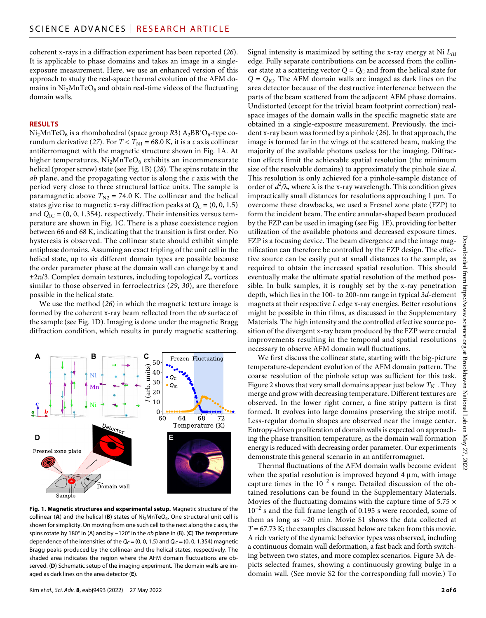coherent x-rays in a diffraction experiment has been reported (*26*). It is applicable to phase domains and takes an image in a singleexposure measurement. Here, we use an enhanced version of this approach to study the real-space thermal evolution of the AFM domains in  $Ni<sub>2</sub>MnTeO<sub>6</sub>$  and obtain real-time videos of the fluctuating domain walls.

#### **RESULTS**

Ni<sub>2</sub>MnTeO<sub>6</sub> is a rhombohedral (space group *R*3) A<sub>2</sub>BB'O<sub>6</sub>-type corundum derivative (27). For  $T < T_{\text{N1}} = 68.0 \text{ K}$ , it is a *c* axis collinear antiferromagnet with the magnetic structure shown in Fig. 1A. At higher temperatures,  $Ni<sub>2</sub>MnTeO<sub>6</sub>$  exhibits an incommensurate helical (proper screw) state (see Fig. 1B) (*28*). The spins rotate in the *ab* plane, and the propagating vector is along the *c* axis with the period very close to three structural lattice units. The sample is paramagnetic above  $T_{N2}$  = 74.0 K. The collinear and the helical states give rise to magnetic x-ray diffraction peaks at  $Q_C = (0, 0, 1.5)$ and  $Q_{\text{IC}}$  = (0, 0, 1.354), respectively. Their intensities versus temperature are shown in Fig. 1C. There is a phase coexistence region between 66 and 68 K, indicating that the transition is first order. No hysteresis is observed. The collinear state should exhibit simple antiphase domains. Assuming an exact tripling of the unit cell in the helical state, up to six different domain types are possible because the order parameter phase at the domain wall can change by  $\pi$  and  $\pm 2\pi/3$ . Complex domain textures, including topological  $Z_n$  vortices similar to those observed in ferroelectrics (*29*, *30*), are therefore possible in the helical state.

We use the method (*26*) in which the magnetic texture image is formed by the coherent x-ray beam reflected from the *ab* surface of the sample (see Fig. 1D). Imaging is done under the magnetic Bragg diffraction condition, which results in purely magnetic scattering.



**Fig. 1. Magnetic structures and experimental setup.** Magnetic structure of the collinear (A) and the helical (B) states of Ni<sub>2</sub>MnTeO<sub>6</sub>. One structural unit cell is shown for simplicity. On moving from one such cell to the next along the *c* axis, the spins rotate by 180° in (A) and by ~120° in the *ab* plane in (B). (**C**) The temperature dependence of the intensities of the  $Q_C = (0, 0, 1.5)$  and  $Q_{IC} = (0, 0, 1.354)$  magnetic Bragg peaks produced by the collinear and the helical states, respectively. The shaded area indicates the region where the AFM domain fluctuations are observed. (**D**) Schematic setup of the imaging experiment. The domain walls are imaged as dark lines on the area detector (**E**).

Signal intensity is maximized by setting the x-ray energy at Ni *LIII* edge. Fully separate contributions can be accessed from the collinear state at a scattering vector  $Q = Q_C$  and from the helical state for  $Q = Q_{\text{IC}}$ . The AFM domain walls are imaged as dark lines on the area detector because of the destructive interference between the parts of the beam scattered from the adjacent AFM phase domains. Undistorted (except for the trivial beam footprint correction) realspace images of the domain walls in the specific magnetic state are obtained in a single-exposure measurement. Previously, the incident x-ray beam was formed by a pinhole (*26*). In that approach, the image is formed far in the wings of the scattered beam, making the majority of the available photons useless for the imaging. Diffraction effects limit the achievable spatial resolution (the minimum size of the resolvable domains) to approximately the pinhole size *d*. This resolution is only achieved for a pinhole-sample distance of order of  $d^2/\lambda$ , where  $\lambda$  is the x-ray wavelength. This condition gives impractically small distances for resolutions approaching  $1 \mu m$ . To overcome these drawbacks, we used a Fresnel zone plate (FZP) to form the incident beam. The entire annular-shaped beam produced by the FZP can be used in imaging (see Fig. 1E), providing for better utilization of the available photons and decreased exposure times. FZP is a focusing device. The beam divergence and the image magnification can therefore be controlled by the FZP design. The effective source can be easily put at small distances to the sample, as required to obtain the increased spatial resolution. This should eventually make the ultimate spatial resolution of the method possible. In bulk samples, it is roughly set by the x-ray penetration depth, which lies in the 100- to 200-nm range in typical *3d*-element magnets at their respective *L* edge x-ray energies. Better resolutions might be possible in thin films, as discussed in the Supplementary Materials. The high intensity and the controlled effective source position of the divergent x-ray beam produced by the FZP were crucial improvements resulting in the temporal and spatial resolutions necessary to observe AFM domain wall fluctuations.

We first discuss the collinear state, starting with the big-picture temperature-dependent evolution of the AFM domain pattern. The coarse resolution of the pinhole setup was sufficient for this task. Figure 2 shows that very small domains appear just below  $T_{\rm N1}$ . They merge and grow with decreasing temperature. Different textures are observed. In the lower right corner, a fine stripy pattern is first formed. It evolves into large domains preserving the stripe motif. Less-regular domain shapes are observed near the image center. Entropy-driven proliferation of domain walls is expected on approaching the phase transition temperature, as the domain wall formation energy is reduced with decreasing order parameter. Our experiments demonstrate this general scenario in an antiferromagnet.

Thermal fluctuations of the AFM domain walls become evident when the spatial resolution is improved beyond  $4 \mu m$ , with image capture times in the  $10^{-2}$  s range. Detailed discussion of the obtained resolutions can be found in the Supplementary Materials. Movies of the fluctuating domains with the capture time of  $5.75 \times$ 10−2 s and the full frame length of 0.195 s were recorded, some of them as long as ~20 min. Movie S1 shows the data collected at *T* = 67.73 K; the examples discussed below are taken from this movie. A rich variety of the dynamic behavior types was observed, including a continuous domain wall deformation, a fast back and forth switching between two states, and more complex scenarios. Figure 3A depicts selected frames, showing a continuously growing bulge in a domain wall. (See movie S2 for the corresponding full movie.) To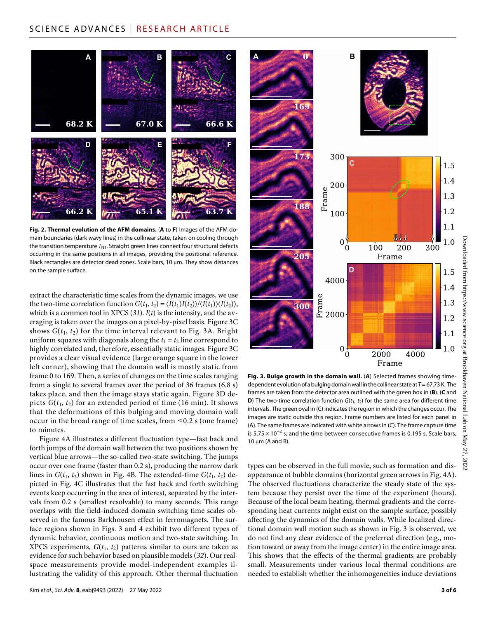# SCIENCE ADVANCES | RESEARCH ARTICLE



**Fig. 2. Thermal evolution of the AFM domains.** (**A** to **F**) Images of the AFM domain boundaries (dark wavy lines) in the collinear state, taken on cooling through the transition temperature *T*<sub>N1</sub>. Straight green lines connect four structural defects occurring in the same positions in all images, providing the positional reference. Black rectangles are detector dead zones. Scale bars,  $10 \mu m$ . They show distances on the sample surface.

extract the characteristic time scales from the dynamic images, we use the two-time correlation function  $G(t_1, t_2) = \langle I(t_1)I(t_2)\rangle/\langle I(t_1)\rangle\langle I(t_2)\rangle$ , which is a common tool in XPCS (*31*). *I*(*t*) is the intensity, and the averaging is taken over the images on a pixel-by-pixel basis. Figure 3C shows  $G(t_1, t_2)$  for the time interval relevant to Fig. 3A. Bright uniform squares with diagonals along the  $t_1 = t_2$  line correspond to highly correlated and, therefore, essentially static images. Figure 3C provides a clear visual evidence (large orange square in the lower left corner), showing that the domain wall is mostly static from frame 0 to 169. Then, a series of changes on the time scales ranging from a single to several frames over the period of 36 frames (6.8 s) takes place, and then the image stays static again. Figure 3D depicts  $G(t_1, t_2)$  for an extended period of time (16 min). It shows that the deformations of this bulging and moving domain wall occur in the broad range of time scales, from ≤0.2 s (one frame) to minutes.

Figure 4A illustrates a different fluctuation type—fast back and forth jumps of the domain wall between the two positions shown by vertical blue arrows—the so-called two-state switching. The jumps occur over one frame (faster than 0.2 s), producing the narrow dark lines in  $G(t_1, t_2)$  shown in Fig. 4B. The extended-time  $G(t_1, t_2)$  depicted in Fig. 4C illustrates that the fast back and forth switching events keep occurring in the area of interest, separated by the intervals from 0.2 s (smallest resolvable) to many seconds. This range overlaps with the field-induced domain switching time scales observed in the famous Barkhousen effect in ferromagnets. The surface regions shown in Figs. 3 and 4 exhibit two different types of dynamic behavior, continuous motion and two-state switching. In XPCS experiments,  $G(t_1, t_2)$  patterns similar to ours are taken as evidence for such behavior based on plausible models (*32*). Our realspace measurements provide model-independent examples illustrating the validity of this approach. Other thermal fluctuation



**Fig. 3. Bulge growth in the domain wall.** (**A**) Selected frames showing timedependent evolution of a bulging domain wall in the collinear state at *T*= 67.73 K. The frames are taken from the detector area outlined with the green box in (**B**). (**C** and **D**) The two-time correlation function  $G(t_1, t_2)$  for the same area for different time intervals. The green oval in (C) indicates the region in which the changes occur. The images are static outside this region. Frame numbers are listed for each panel in (A). The same frames are indicated with white arrows in (C). The frame capture time is 5.75  $\times$  10<sup>-2</sup> s, and the time between consecutive frames is 0.195 s. Scale bars,  $10 \mu m$  (A and B).

types can be observed in the full movie, such as formation and disappearance of bubble domains (horizontal green arrows in Fig. 4A). The observed fluctuations characterize the steady state of the system because they persist over the time of the experiment (hours). Because of the local beam heating, thermal gradients and the corresponding heat currents might exist on the sample surface, possibly affecting the dynamics of the domain walls. While localized directional domain wall motion such as shown in Fig. 3 is observed, we do not find any clear evidence of the preferred direction (e.g., motion toward or away from the image center) in the entire image area. This shows that the effects of the thermal gradients are probably small. Measurements under various local thermal conditions are needed to establish whether the inhomogeneities induce deviations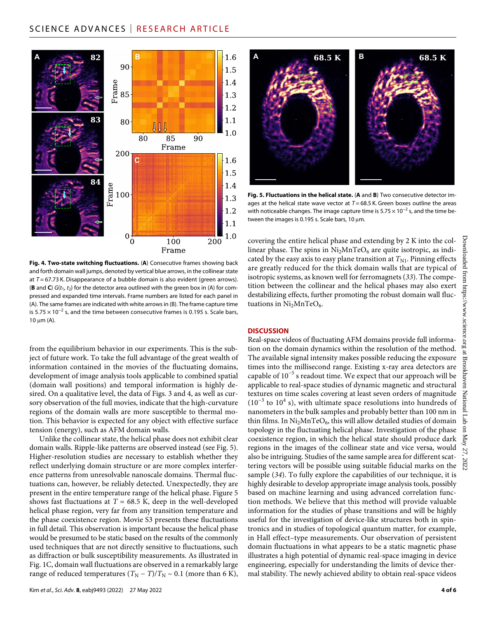# SCIENCE ADVANCES | RESEARCH ARTICLE



**Fig. 4. Two-state switching fluctuations.** (**A**) Consecutive frames showing back and forth domain wall jumps, denoted by vertical blue arrows, in the collinear state at *T* = 67.73 K. Disappearance of a bubble domain is also evident (green arrows). (**B** and **C**)  $G(t_1, t_2)$  for the detector area outlined with the green box in (A) for compressed and expanded time intervals. Frame numbers are listed for each panel in (A). The same frames are indicated with white arrows in (B). The frame capture time is  $5.75 \times 10^{-2}$  s, and the time between consecutive frames is 0.195 s. Scale bars,  $10 \mu m$  (A).

from the equilibrium behavior in our experiments. This is the subject of future work. To take the full advantage of the great wealth of information contained in the movies of the fluctuating domains, development of image analysis tools applicable to combined spatial (domain wall positions) and temporal information is highly desired. On a qualitative level, the data of Figs. 3 and 4, as well as cursory observation of the full movies, indicate that the high-curvature regions of the domain walls are more susceptible to thermal motion. This behavior is expected for any object with effective surface tension (energy), such as AFM domain walls.

Unlike the collinear state, the helical phase does not exhibit clear domain walls. Ripple-like patterns are observed instead (see Fig. 5). Higher-resolution studies are necessary to establish whether they reflect underlying domain structure or are more complex interference patterns from unresolvable nanoscale domains. Thermal fluctuations can, however, be reliably detected. Unexpectedly, they are present in the entire temperature range of the helical phase. Figure 5 shows fast fluctuations at  $T = 68.5$  K, deep in the well-developed helical phase region, very far from any transition temperature and the phase coexistence region. Movie S3 presents these fluctuations in full detail. This observation is important because the helical phase would be presumed to be static based on the results of the commonly used techniques that are not directly sensitive to fluctuations, such as diffraction or bulk susceptibility measurements. As illustrated in Fig. 1C, domain wall fluctuations are observed in a remarkably large range of reduced temperatures  $(T_N - T)/T_N \sim 0.1$  (more than 6 K),



**Fig. 5. Fluctuations in the helical state.** (**A** and **B**) Two consecutive detector images at the helical state wave vector at  $T = 68.5$  K. Green boxes outline the areas with noticeable changes. The image capture time is  $5.75 \times 10^{-2}$  s, and the time between the images is 0.195 s. Scale bars,  $10 \mu m$ .

covering the entire helical phase and extending by 2 K into the collinear phase. The spins in  $Ni<sub>2</sub>MnTeO<sub>6</sub>$  are quite isotropic, as indicated by the easy axis to easy plane transition at  $T_{\rm NL}$ . Pinning effects are greatly reduced for the thick domain walls that are typical of isotropic systems, as known well for ferromagnets (*33*). The competition between the collinear and the helical phases may also exert destabilizing effects, further promoting the robust domain wall fluctuations in  $Ni<sub>2</sub>MnTeO<sub>6</sub>$ .

#### **DISCUSSION**

Real-space videos of fluctuating AFM domains provide full information on the domain dynamics within the resolution of the method. The available signal intensity makes possible reducing the exposure times into the millisecond range. Existing x-ray area detectors are capable of 10−5 s readout time. We expect that our approach will be applicable to real-space studies of dynamic magnetic and structural textures on time scales covering at least seven orders of magnitude  $(10^{-3}$  to  $10^{4}$  s), with ultimate space resolutions into hundreds of nanometers in the bulk samples and probably better than 100 nm in thin films. In  $Ni<sub>2</sub>MnTeO<sub>6</sub>$ , this will allow detailed studies of domain topology in the fluctuating helical phase. Investigation of the phase coexistence region, in which the helical state should produce dark regions in the images of the collinear state and vice versa, would also be intriguing. Studies of the same sample area for different scattering vectors will be possible using suitable fiducial marks on the sample (*34*). To fully explore the capabilities of our technique, it is highly desirable to develop appropriate image analysis tools, possibly based on machine learning and using advanced correlation function methods. We believe that this method will provide valuable information for the studies of phase transitions and will be highly useful for the investigation of device-like structures both in spintronics and in studies of topological quantum matter, for example, in Hall effect–type measurements. Our observation of persistent domain fluctuations in what appears to be a static magnetic phase illustrates a high potential of dynamic real-space imaging in device engineering, especially for understanding the limits of device thermal stability. The newly achieved ability to obtain real-space videos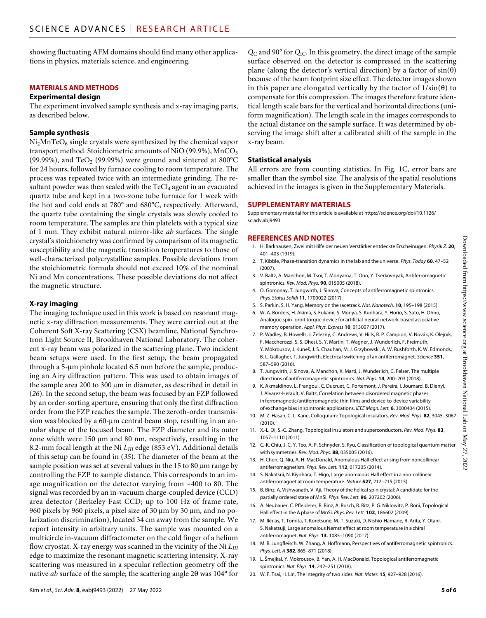showing fluctuating AFM domains should find many other applications in physics, materials science, and engineering.

#### **MATERIALS AND METHODS**

#### **Experimental design**

The experiment involved sample synthesis and x-ray imaging parts, as described below.

#### **Sample synthesis**

 $Ni<sub>2</sub>MnTeO<sub>6</sub>$  single crystals were synthesized by the chemical vapor transport method. Stoichiometric amounts of NiO (99.9%), MnCO<sub>3</sub> (99.99%), and TeO<sub>2</sub> (99.99%) were ground and sintered at 800°C for 24 hours, followed by furnace cooling to room temperature. The process was repeated twice with an intermediate grinding. The resultant powder was then sealed with the  $TeCl<sub>4</sub>$  agent in an evacuated quartz tube and kept in a two-zone tube furnace for 1 week with the hot and cold ends at 780° and 680°C, respectively. Afterward, the quartz tube containing the single crystals was slowly cooled to room temperature. The samples are thin platelets with a typical size of 1 mm. They exhibit natural mirror-like *ab* surfaces. The single crystal's stoichiometry was confirmed by comparison of its magnetic susceptibility and the magnetic transition temperatures to those of well-characterized polycrystalline samples. Possible deviations from the stoichiometric formula should not exceed 10% of the nominal Ni and Mn concentrations. These possible deviations do not affect the magnetic structure.

#### **X-ray imaging**

The imaging technique used in this work is based on resonant magnetic x-ray diffraction measurements. They were carried out at the Coherent Soft X-ray Scattering (CSX) beamline, National Synchrotron Light Source II, Brookhaven National Laboratory. The coherent x-ray beam was polarized in the scattering plane. Two incident beam setups were used. In the first setup, the beam propagated through a 5-µm pinhole located 6.5 mm before the sample, producing an Airy diffraction pattern. This was used to obtain images of the sample area 200 to 300 µm in diameter, as described in detail in (*26*). In the second setup, the beam was focused by an FZP followed by an order-sorting aperture, ensuring that only the first diffraction order from the FZP reaches the sample. The zeroth-order transmission was blocked by a 60-µm central beam stop, resulting in an annular shape of the focused beam. The FZP diameter and its outer zone width were  $150 \mu m$  and  $80 \mu m$ , respectively, resulting in the 8.2-mm focal length at the Ni *LIII* edge (853 eV). Additional details of this setup can be found in (*35*). The diameter of the beam at the sample position was set at several values in the 15 to 80 µm range by controlling the FZP to sample distance. This corresponds to an image magnification on the detector varying from ~400 to 80. The signal was recorded by an in-vacuum charge-coupled device (CCD) area detector (Berkeley Fast CCD; up to 100 Hz of frame rate, 960 pixels by 960 pixels, a pixel size of 30  $\mu$ m by 30  $\mu$ m, and no polarization discrimination), located 34 cm away from the sample. We report intensity in arbitrary units. The sample was mounted on a multicircle in-vacuum diffractometer on the cold finger of a helium flow cryostat. X-ray energy was scanned in the vicinity of the Ni *LIII* edge to maximize the resonant magnetic scattering intensity. X-ray scattering was measured in a specular reflection geometry off the native *ab* surface of the sample; the scattering angle 20 was 104° for

*Q*C and 90° for *Q*IC. In this geometry, the direct image of the sample surface observed on the detector is compressed in the scattering plane (along the detector's vertical direction) by a factor of  $sin(\theta)$ because of the beam footprint size effect. The detector images shown in this paper are elongated vertically by the factor of  $1/\sin(\theta)$  to compensate for this compression. The images therefore feature identical length scale bars for the vertical and horizontal directions (uniform magnification). The length scale in the images corresponds to the actual distance on the sample surface. It was determined by observing the image shift after a calibrated shift of the sample in the x-ray beam.

#### **Statistical analysis**

All errors are from counting statistics. In Fig. 1C, error bars are smaller than the symbol size. The analysis of the spatial resolutions achieved in the images is given in the Supplementary Materials.

#### **SUPPLEMENTARY MATERIALS**

Supplementary material for this article is available at [https://science.org/doi/10.1126/](https://science.org/doi/10.1126/sciadv.abj9493) [sciadv.abj9493](https://science.org/doi/10.1126/sciadv.abj9493)

#### **REFERENCES AND NOTES**

- 1. H. Barkhausen, Zwei mit Hilfe der neuen Verstärker entdeckte Erscheinugen. *Physik Z.* **20**, 401–403 (1919).
- 2. T. Kibble, Phase-transition dynamics in the lab and the universe. *Phys. Today* **60**, 47–52 (2007).
- 3. V. Baltz, A. Manchon, M. Tsoi, T. Moriyama, T. Ono, Y. Tserkovnyak, Antiferromagnetic spintronics. *Rev. Mod. Phys.* **90**, 015005 (2018).
- 4. O. Gomonay, T. Jungwirth, J. Sinova, Concepts of antiferromagnetic spintronics. *Phys. Status Solidi* **11**, 1700022 (2017).
- 5. S. Parkin, S. H. Yang, Memory on the racetrack. *Nat. Nanotech.* **10**, 195–198 (2015).
- 6. W. A. Borders, H. Akima, S. Fukami, S. Moriya, S. Kurihara, Y. Horio, S. Sato, H. Ohno, Analogue spin–orbit torque device for artificial-neural-network-based associative memory operation. *Appl. Phys. Express* **10**, 013007 (2017).
- 7. P. Wadley, B. Howells, J. Železný, C. Andrews, V. Hills, R. P. Campion, V. Novák, K. Olejník, F. Maccherozzi, S. S. Dhesi, S. Y. Martin, T. Wagner, J. Wunderlich, F. Freimuth, Y. Mokrousov, J. Kuneš, J. S. Chauhan, M. J. Grzybowski, A. W. Rushforth, K. W. Edmonds, B. L. Gallagher, T. Jungwirth, Electrical switching of an antiferromagnet. *Science* **351**, 587–590 (2016).
- 8. T. Jungwirth, J. Sinova, A. Manchon, X. Marti, J. Wunderlich, C. Felser, The multiple directions of antiferromagnetic spintronics. *Nat. Phys.* **14**, 200–203 (2018).
- 9. K. Akmaldinov, L. Frangoul, C. Ducruet, C. Portemont, J. Pereira, I. Joumard, B. Dienyl, J. Alvarez-Herault, V. Baltz, Correlation between disordered magnetic phases in ferromagnetic/antiferromagnetic thin films and device-to-device variability of exchange bias in spintronic applications. *IEEE Magn. Lett.* **6**, 3000404 (2015).
- 10. M. Z. Hasan, C. L. Kane, Colloquium: Topological insulators. *Rev. Mod. Phys.* **82**, 3045–3067 (2010).
- 11. X.-L. Qi, S.-C. Zhang, Topological insulators and superconductors. *Rev. Mod. Phys.* **83**, 1057–1110 (2011).
- 12. C.-K. Chiu, J. C. Y. Teo, A. P. Schnyder, S. Ryu, Classification of topological quantum matter with symmetries. *Rev. Mod. Phys.* **88**, 035005 (2016).
- 13. H. Chen, Q. Niu, A. H. MacDonald, Anomalous Hall effect arising from noncollinear antiferromagnetism. *Phys. Rev. Lett.* **112**, 017205 (2014).
- 14. S. Nakatsui, N. Kiyohara, T. Higo, Large anomalous Hall effect in a non-collinear antiferromagnet at room temperature. *Nature* **527**, 212–215 (2015).
- 15. B. Binz, A. Vishwanath, V. Aji, Theory of the helical spin crystal: A candidate for the partially ordered state of MnSi. *Phys. Rev. Lett.* **96**, 207202 (2006).
- 16. A. Neubauer, C. Pfleiderer, B. Binz, A. Rosch, R. Ritz, P. G. Niklowitz, P. Böni, Topological Hall effect in the A phase of MnSi. *Phys. Rev. Lett.* **102**, 186602 (2009).
- 17. M. Ikhlas, T. Tomita, T. Koretsune, M.-T. Suzuki, D. Nishio-Hamane, R. Arita, Y. Otani, S. Nakatsuji, Large anomalous Nernst effect at room temperature in a chiral antiferromagnet. *Nat. Phys.* **13**, 1085–1090 (2017).
- 18. M. B. Jungfleisch, W. Zhang, A. Hoffmann, Perspectives of antiferromagnetic spintronics. *Phys. Lett. A* **382**, 865–871 (2018).
- 19. L. Šmejkal, Y. Mokrousov, B. Yan, A. H. MacDonald, Topological antiferromagnetic spintronics. *Nat. Phys.* **14**, 242–251 (2018).
- 20. W. F. Tsai, H. Lin, The integrity of two sides. *Nat. Mater.* **15**, 927–928 (2016).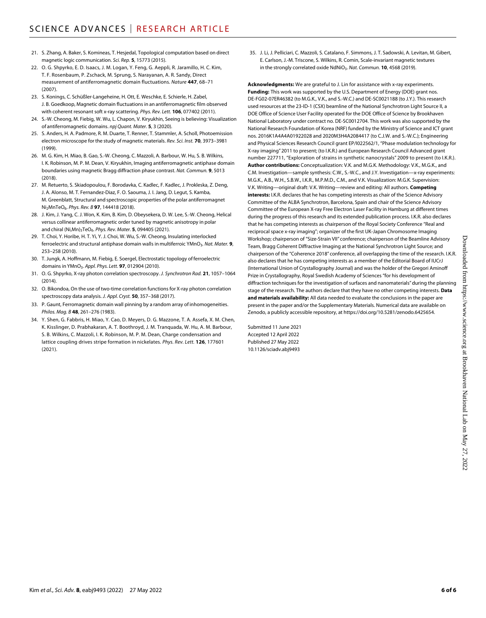- 21. S. Zhang, A. Baker, S. Komineas, T. Hesjedal, Topological computation based on direct magnetic logic communication. *Sci. Rep.* **5**, 15773 (2015).
- 22. O. G. Shpyrko, E. D. Isaacs, J. M. Logan, Y. Feng, G. Aeppli, R. Jaramillo, H. C. Kim, T. F. Rosenbaum, P. Zschack, M. Sprung, S. Narayanan, A. R. Sandy, Direct measurement of antiferromagnetic domain fluctuations. *Nature* **447**, 68–71 (2007).
- 23. S. Konings, C. Schüßler-Langeheine, H. Ott, E. Weschke, E. Schierle, H. Zabel, J. B. Goedkoop, Magnetic domain fluctuations in an antiferromagnetic film observed with coherent resonant soft x-ray scattering. *Phys. Rev. Lett.* **106**, 077402 (2011).
- S.-W. Cheong, M. Fiebig, W. Wu, L. Chapon, V. Kiryukhin, Seeing is believing: Visualization of antiferromagnetic domains. *npj Quant. Mater.* **5**, 3 (2020).
- 25. S. Anders, H. A. Padmore, R. M. Duarte, T. Renner, T. Stammler, A. Scholl, Photoemission electron microscope for the study of magnetic materials. *Rev. Sci. Inst.* **70**, 3973–3981 (1999).
- 26. M. G. Kim, H. Miao, B. Gao, S.-W. Cheong, C. Mazzoli, A. Barbour, W. Hu, S. B. Wilkins, I. K. Robinson, M. P. M. Dean, V. Kiryukhin, Imaging antiferromagnetic antiphase domain boundaries using magnetic Bragg diffraction phase contrast. *Nat. Commun.* **9**, 5013 (2018).
- 27. M. Retuerto, S. Skiadopoulou, F. Borodavka, C. Kadlec, F. Kadlec, J. Prokleska, Z. Deng, J. A. Alonso, M. T. Fernandez-Diaz, F. O. Saouma, J. I. Jang, D. Legut, S. Kamba, M. Greenblatt, Structural and spectroscopic properties of the polar antiferromagnet Ni2MnTeO6. *Phys. Rev. B* **97**, 144418 (2018).
- 28. J. Kim, J. Yang, C. J. Won, K. Kim, B. Kim, D. Obeysekera, D. W. Lee, S.-W. Cheong, Helical versus collinear antiferromagnetic order tuned by magnetic anisotropy in polar and chiral (Ni,Mn)3TeO6. *Phys. Rev. Mater.* **5**, 094405 (2021).
- 29. T. Choi, Y. Horibe, H. T. Yi, Y. J. Choi, W. Wu, S.-W. Cheong, Insulating interlocked ferroelectric and structural antiphase domain walls in multiferroic YMnO<sub>3</sub>. Nat. Mater. **9**, 253–258 (2010).
- 30. T. Jungk, A. Hoffmann, M. Fiebig, E. Soergel, Electrostatic topology of ferroelectric domains in YMnO3. *Appl. Phys. Lett.* **97**, 012904 (2010).
- 31. O. G. Shpyrko, X-ray photon correlation spectroscopy. *J. Synchrotron Rad.* **21**, 1057–1064 (2014).
- 32. O. Bikondoa, On the use of two-time correlation functions for X-ray photon correlation spectroscopy data analysis. *J. Appl. Cryst.* **50**, 357–368 (2017).
- 33. P. Gaunt, Ferromagnetic domain wall pinning by a random array of inhomogeneities. *Philos. Mag. B* **48**, 261–276 (1983).
- 34. Y. Shen, G. Fabbris, H. Miao, Y. Cao, D. Meyers, D. G. Mazzone, T. A. Assefa, X. M. Chen, K. Kisslinger, D. Prabhakaran, A. T. Boothroyd, J. M. Tranquada, W. Hu, A. M. Barbour, S. B. Wilkins, C. Mazzoli, I. K. Robinson, M. P. M. Dean, Charge condensation and lattice coupling drives stripe formation in nickelates. *Phys. Rev. Lett.* **126**, 177601 (2021).

35. J. Li, J. Pelliciari, C. Mazzoli, S. Catalano, F. Simmons, J. T. Sadowski, A. Levitan, M. Gibert, E. Carlson, J.-M. Triscone, S. Wilkins, R. Comin, Scale-invariant magnetic textures in the strongly correlated oxide NdNiO<sub>3</sub>. Nat. Commun. **10**, 4568 (2019).

**Acknowledgments:** We are grateful to J. Lin for assistance with x-ray experiments. **Funding:** This work was supported by the U.S. Department of Energy (DOE) grant nos. DE-FG02-07ER46382 (to M.G.K., V.K., and S.-W.C.) and DE-SC0021188 (to J.Y.). This research used resources at the 23-ID-1 (CSX) beamline of the National Synchrotron Light Source II, a DOE Office of Science User Facility operated for the DOE Office of Science by Brookhaven National Laboratory under contract no. DE-SC0012704. This work was also supported by the National Research Foundation of Korea (NRF) funded by the Ministry of Science and ICT grant nos. 2016K1A4A4A01922028 and 2020M3H4A2084417 (to C.J.W. and S.-W.C.); Engineering and Physical Sciences Research Council grant EP/I022562/1, "Phase modulation technology for X-ray imaging" 2011 to present; (to I.K.R.) and European Research Council Advanced grant number 227711, "Exploration of strains in synthetic nanocrystals" 2009 to present (to I.K.R.). **Author contributions:** Conceptualization: V.K. and M.G.K. Methodology: V.K., M.G.K., and C.M. Investigation—sample synthesis: C.W., S.-W.C., and J.Y. Investigation—x-ray experiments: M.G.K., A.B., W.H., S.B.W., I.K.R., M.P.M.D., C.M., and V.K. Visualization: M.G.K. Supervision: V.K. Writing—original draft: V.K. Writing—review and editing: All authors. **Competing interests:** I.K.R. declares that he has competing interests as chair of the Science Advisory Committee of the ALBA Synchrotron, Barcelona, Spain and chair of the Science Advisory Committee of the European X-ray Free Electron Laser Facility in Hamburg at different times during the progress of this research and its extended publication process. I.K.R. also declares that he has competing interests as chairperson of the Royal Society Conference "Real and reciprocal space x-ray imaging"; organizer of the first UK-Japan Chromosome Imaging Workshop; chairperson of "Size-Strain VII" conference; chairperson of the Beamline Advisory Team, Bragg Coherent Diffractive Imaging at the National Synchrotron Light Source; and chairperson of the "Coherence 2018" conference, all overlapping the time of the research. I.K.R. also declares that he has competing interests as a member of the Editorial Board of IUCrJ (International Union of Crystallography Journal) and was the holder of the Gregori Aminoff Prize in Crystallography, Royal Swedish Academy of Sciences "for his development of diffraction techniques for the investigation of surfaces and nanomaterials" during the planning stage of the research. The authors declare that they have no other competing interests. **Data and materials availability:** All data needed to evaluate the conclusions in the paper are present in the paper and/or the Supplementary Materials. Numerical data are available on Zenodo, a publicly accessible repository, at [https://doi.org/10.5281/zenodo.6425654.](https://doi.org/10.5281/zenodo.6425654)

Submitted 11 June 2021 Accepted 12 April 2022 Published 27 May 2022 10.1126/sciadv.abj9493